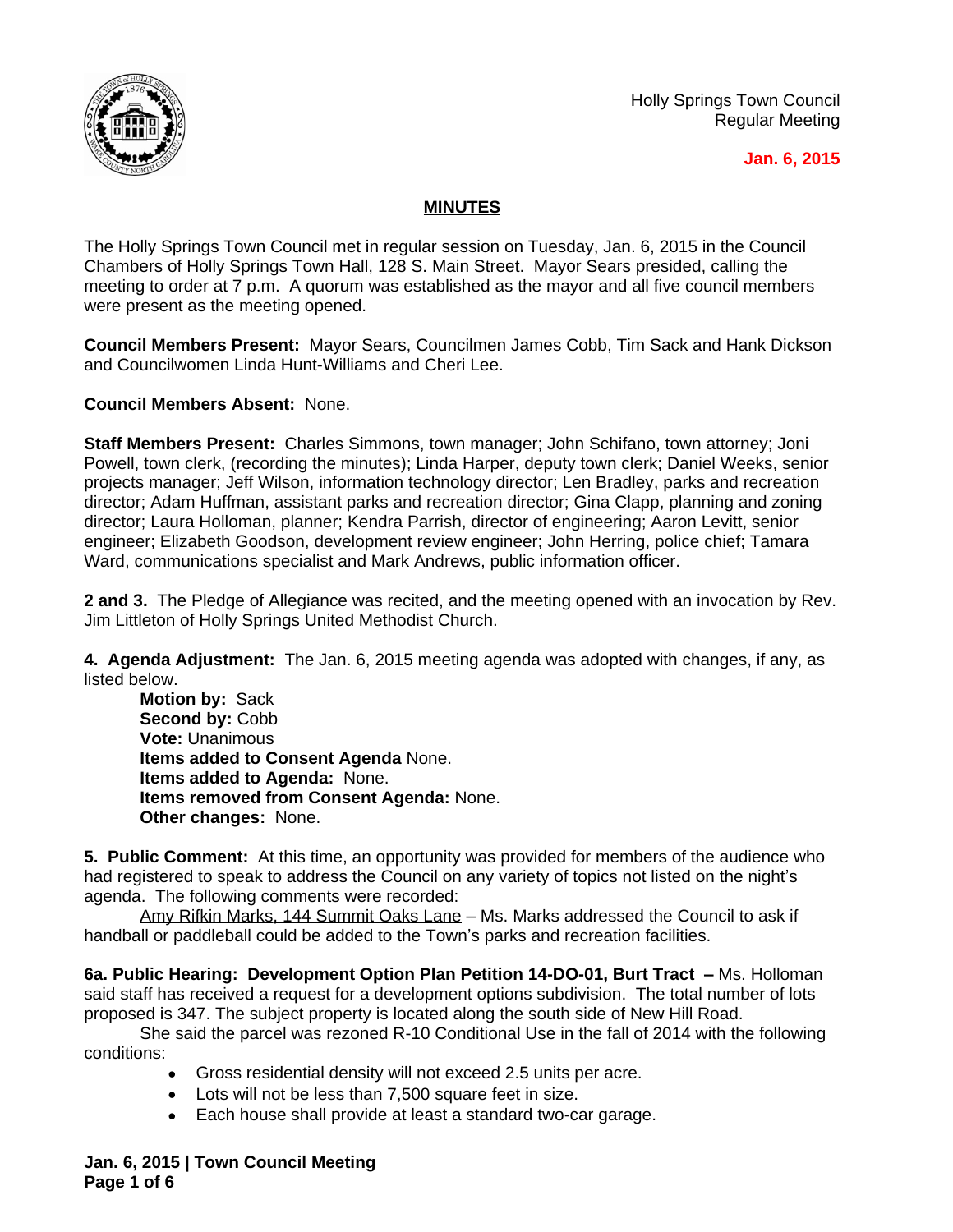

Holly Springs Town Council Regular Meeting

### **Jan. 6, 2015**

## **MINUTES**

The Holly Springs Town Council met in regular session on Tuesday, Jan. 6, 2015 in the Council Chambers of Holly Springs Town Hall, 128 S. Main Street. Mayor Sears presided, calling the meeting to order at 7 p.m. A quorum was established as the mayor and all five council members were present as the meeting opened.

**Council Members Present:** Mayor Sears, Councilmen James Cobb, Tim Sack and Hank Dickson and Councilwomen Linda Hunt-Williams and Cheri Lee.

**Council Members Absent:** None.

**Staff Members Present:** Charles Simmons, town manager; John Schifano, town attorney; Joni Powell, town clerk, (recording the minutes); Linda Harper, deputy town clerk; Daniel Weeks, senior projects manager; Jeff Wilson, information technology director; Len Bradley, parks and recreation director; Adam Huffman, assistant parks and recreation director; Gina Clapp, planning and zoning director; Laura Holloman, planner; Kendra Parrish, director of engineering; Aaron Levitt, senior engineer; Elizabeth Goodson, development review engineer; John Herring, police chief; Tamara Ward, communications specialist and Mark Andrews, public information officer.

**2 and 3.** The Pledge of Allegiance was recited, and the meeting opened with an invocation by Rev. Jim Littleton of Holly Springs United Methodist Church.

**4. Agenda Adjustment:** The Jan. 6, 2015 meeting agenda was adopted with changes, if any, as listed below.

**Motion by:** Sack Second by: Cobb **Vote:** Unanimous **Items added to Consent Agenda** None. **Items added to Agenda:** None. **Items removed from Consent Agenda:** None. **Other changes:** None.

**5. Public Comment:** At this time, an opportunity was provided for members of the audience who had registered to speak to address the Council on any variety of topics not listed on the night's agenda. The following comments were recorded:

Amy Rifkin Marks, 144 Summit Oaks Lane – Ms. Marks addressed the Council to ask if handball or paddleball could be added to the Town's parks and recreation facilities.

**6a. Public Hearing: Development Option Plan Petition 14-DO-01, Burt Tract - Ms. Holloman** said staff has received a request for a development options subdivision. The total number of lots proposed is 347. The subject property is located along the south side of New Hill Road.

She said the parcel was rezoned R-10 Conditional Use in the fall of 2014 with the following conditions:

- Gross residential density will not exceed 2.5 units per acre.
- Lots will not be less than 7,500 square feet in size.
- Each house shall provide at least a standard two-car garage.

**Jan. 6, 2015 | Town Council Meeting Page 1 of 6**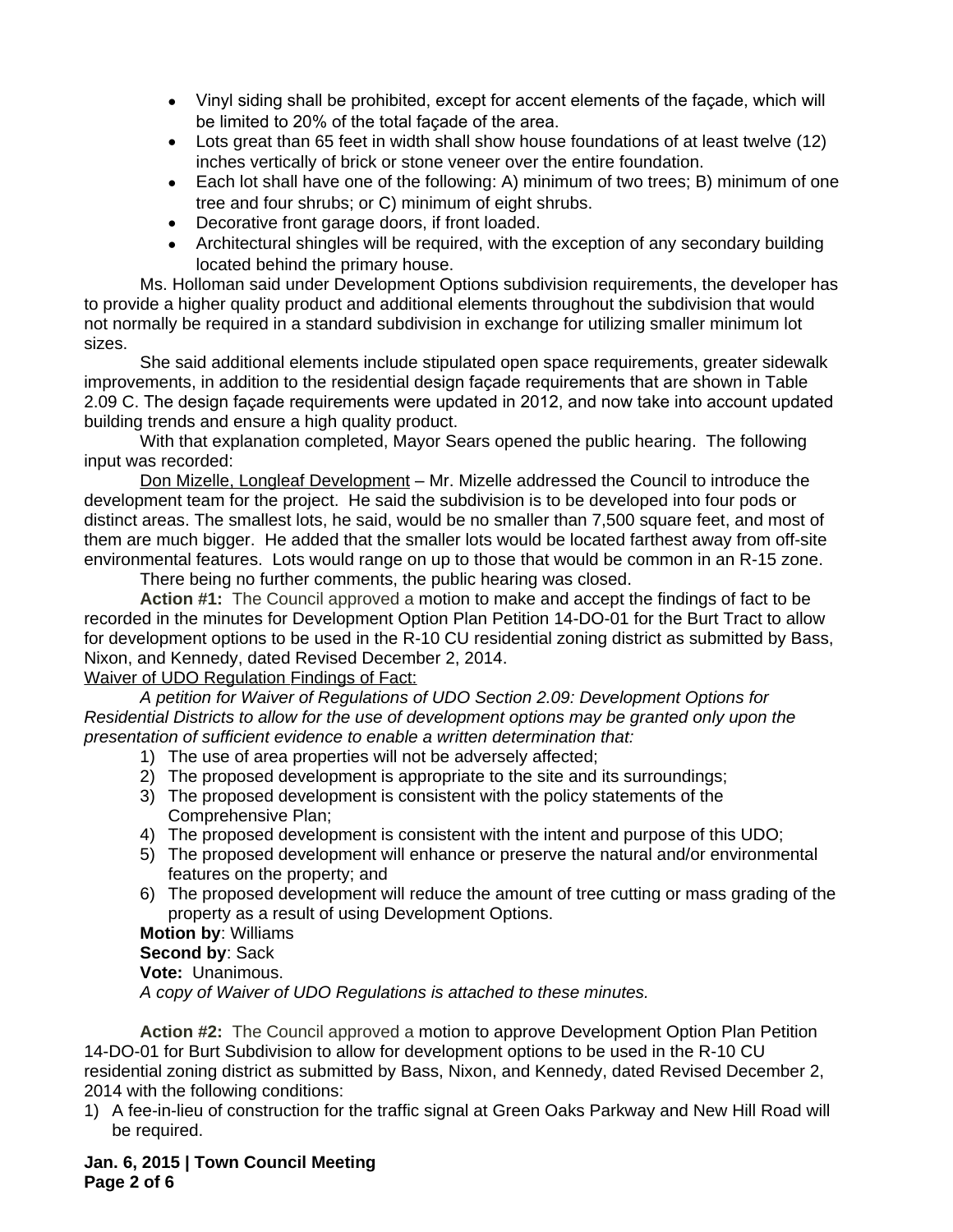- Vinyl siding shall be prohibited, except for accent elements of the façade, which will be limited to 20% of the total façade of the area.
- Lots great than 65 feet in width shall show house foundations of at least twelve (12) inches vertically of brick or stone veneer over the entire foundation.
- Each lot shall have one of the following: A) minimum of two trees; B) minimum of one tree and four shrubs; or C) minimum of eight shrubs.
- Decorative front garage doors, if front loaded.
- Architectural shingles will be required, with the exception of any secondary building located behind the primary house.

Ms. Holloman said under Development Options subdivision requirements, the developer has to provide a higher quality product and additional elements throughout the subdivision that would not normally be required in a standard subdivision in exchange for utilizing smaller minimum lot sizes.

She said additional elements include stipulated open space requirements, greater sidewalk improvements, in addition to the residential design façade requirements that are shown in Table 2.09 C. The design façade requirements were updated in 2012, and now take into account updated building trends and ensure a high quality product.

With that explanation completed, Mayor Sears opened the public hearing. The following input was recorded:

Don Mizelle, Longleaf Development – Mr. Mizelle addressed the Council to introduce the development team for the project. He said the subdivision is to be developed into four pods or distinct areas. The smallest lots, he said, would be no smaller than 7,500 square feet, and most of them are much bigger. He added that the smaller lots would be located farthest away from off-site environmental features. Lots would range on up to those that would be common in an R-15 zone.

There being no further comments, the public hearing was closed.

**Action #1:** The Council approved a motion to make and accept the findings of fact to be recorded in the minutes for Development Option Plan Petition 14-DO-01 for the Burt Tract to allow for development options to be used in the R-10 CU residential zoning district as submitted by Bass, Nixon, and Kennedy, dated Revised December 2, 2014.

### Waiver of UDO Regulation Findings of Fact:

*A petition for Waiver of Regulations of UDO Section 2.09: Development Options for Residential Districts to allow for the use of development options may be granted only upon the presentation of sufficient evidence to enable a written determination that:*

- 1) The use of area properties will not be adversely affected;
- 2) The proposed development is appropriate to the site and its surroundings;
- 3) The proposed development is consistent with the policy statements of the Comprehensive Plan;
- 4) The proposed development is consistent with the intent and purpose of this UDO;
- 5) The proposed development will enhance or preserve the natural and/or environmental features on the property; and
- 6) The proposed development will reduce the amount of tree cutting or mass grading of the property as a result of using Development Options.

# **Motion by**: Williams

## **Second by**: Sack

#### **Vote:** Unanimous.

*A copy of Waiver of UDO Regulations is attached to these minutes.*

**Action #2:** The Council approved a motion to approve Development Option Plan Petition 14-DO-01 for Burt Subdivision to allow for development options to be used in the R-10 CU residential zoning district as submitted by Bass, Nixon, and Kennedy, dated Revised December 2, 2014 with the following conditions:

1) A fee-in-lieu of construction for the traffic signal at Green Oaks Parkway and New Hill Road will be required.

**Jan. 6, 2015 | Town Council Meeting Page 2 of 6**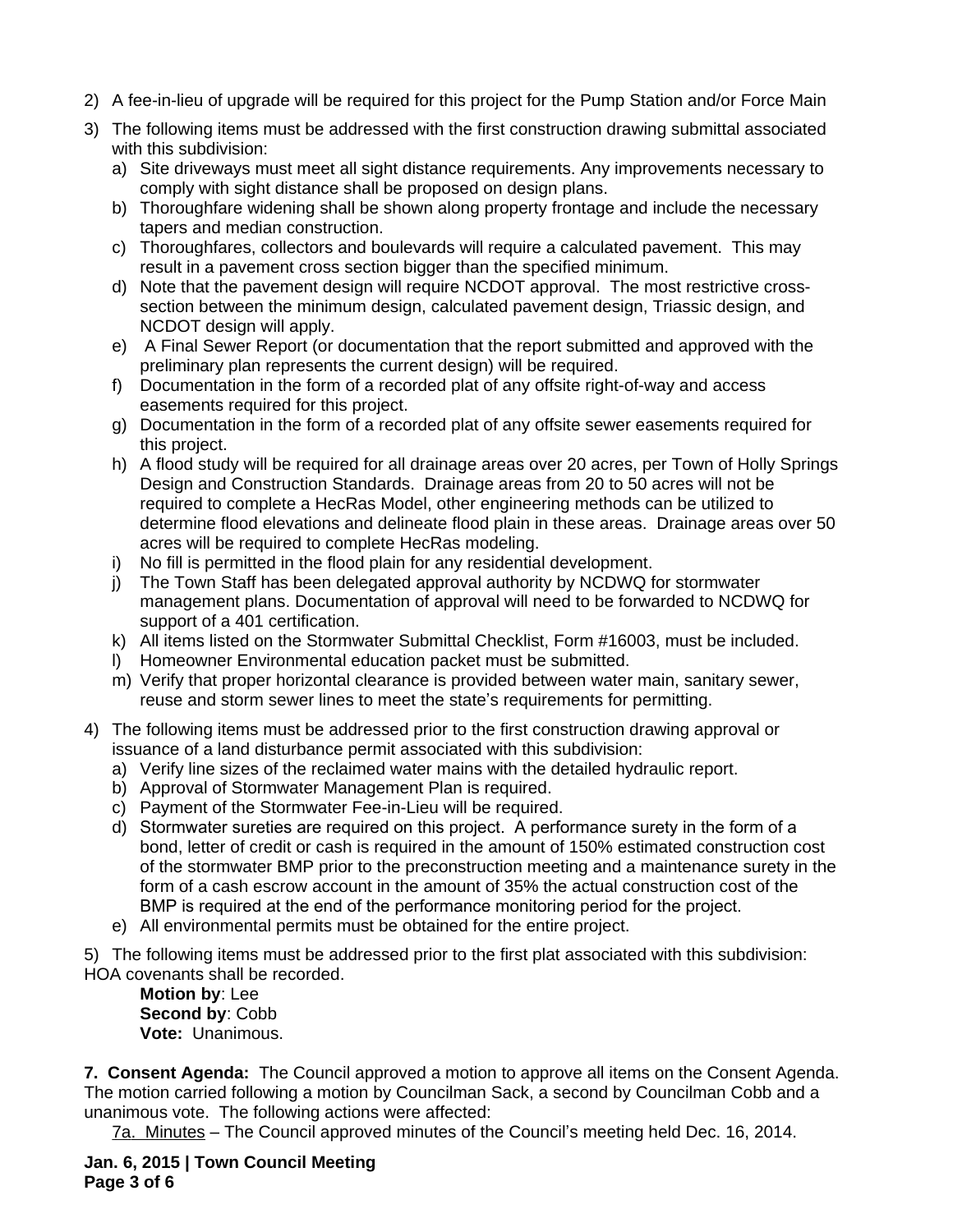- 2) A fee-in-lieu of upgrade will be required for this project for the Pump Station and/or Force Main
- 3) The following items must be addressed with the first construction drawing submittal associated with this subdivision:
	- a) Site driveways must meet all sight distance requirements. Any improvements necessary to comply with sight distance shall be proposed on design plans.
	- b) Thoroughfare widening shall be shown along property frontage and include the necessary tapers and median construction.
	- c) Thoroughfares, collectors and boulevards will require a calculated pavement. This may result in a pavement cross section bigger than the specified minimum.
	- d) Note that the pavement design will require NCDOT approval. The most restrictive crosssection between the minimum design, calculated pavement design, Triassic design, and NCDOT design will apply.
	- e) A Final Sewer Report (or documentation that the report submitted and approved with the preliminary plan represents the current design) will be required.
	- f) Documentation in the form of a recorded plat of any offsite right-of-way and access easements required for this project.
	- g) Documentation in the form of a recorded plat of any offsite sewer easements required for this project.
	- h) A flood study will be required for all drainage areas over 20 acres, per Town of Holly Springs Design and Construction Standards. Drainage areas from 20 to 50 acres will not be required to complete a HecRas Model, other engineering methods can be utilized to determine flood elevations and delineate flood plain in these areas. Drainage areas over 50 acres will be required to complete HecRas modeling.
	- i) No fill is permitted in the flood plain for any residential development.
	- j) The Town Staff has been delegated approval authority by NCDWQ for stormwater management plans. Documentation of approval will need to be forwarded to NCDWQ for support of a 401 certification.
	- k) All items listed on the Stormwater Submittal Checklist, Form #16003, must be included.
	- l) Homeowner Environmental education packet must be submitted.
	- m) Verify that proper horizontal clearance is provided between water main, sanitary sewer, reuse and storm sewer lines to meet the state's requirements for permitting.
- 4) The following items must be addressed prior to the first construction drawing approval or issuance of a land disturbance permit associated with this subdivision:
	- a) Verify line sizes of the reclaimed water mains with the detailed hydraulic report.
	- b) Approval of Stormwater Management Plan is required.
	- c) Payment of the Stormwater Fee-in-Lieu will be required.
	- d) Stormwater sureties are required on this project. A performance surety in the form of a bond, letter of credit or cash is required in the amount of 150% estimated construction cost of the stormwater BMP prior to the preconstruction meeting and a maintenance surety in the form of a cash escrow account in the amount of 35% the actual construction cost of the BMP is required at the end of the performance monitoring period for the project.
	- e) All environmental permits must be obtained for the entire project.
- 5) The following items must be addressed prior to the first plat associated with this subdivision: HOA covenants shall be recorded.

**Motion by**: Lee **Second by**: Cobb **Vote:** Unanimous.

**7. Consent Agenda:** The Council approved a motion to approve all items on the Consent Agenda. The motion carried following a motion by Councilman Sack, a second by Councilman Cobb and a unanimous vote. The following actions were affected:

7a. Minutes – The Council approved minutes of the Council's meeting held Dec. 16, 2014.

**Jan. 6, 2015 | Town Council Meeting Page 3 of 6**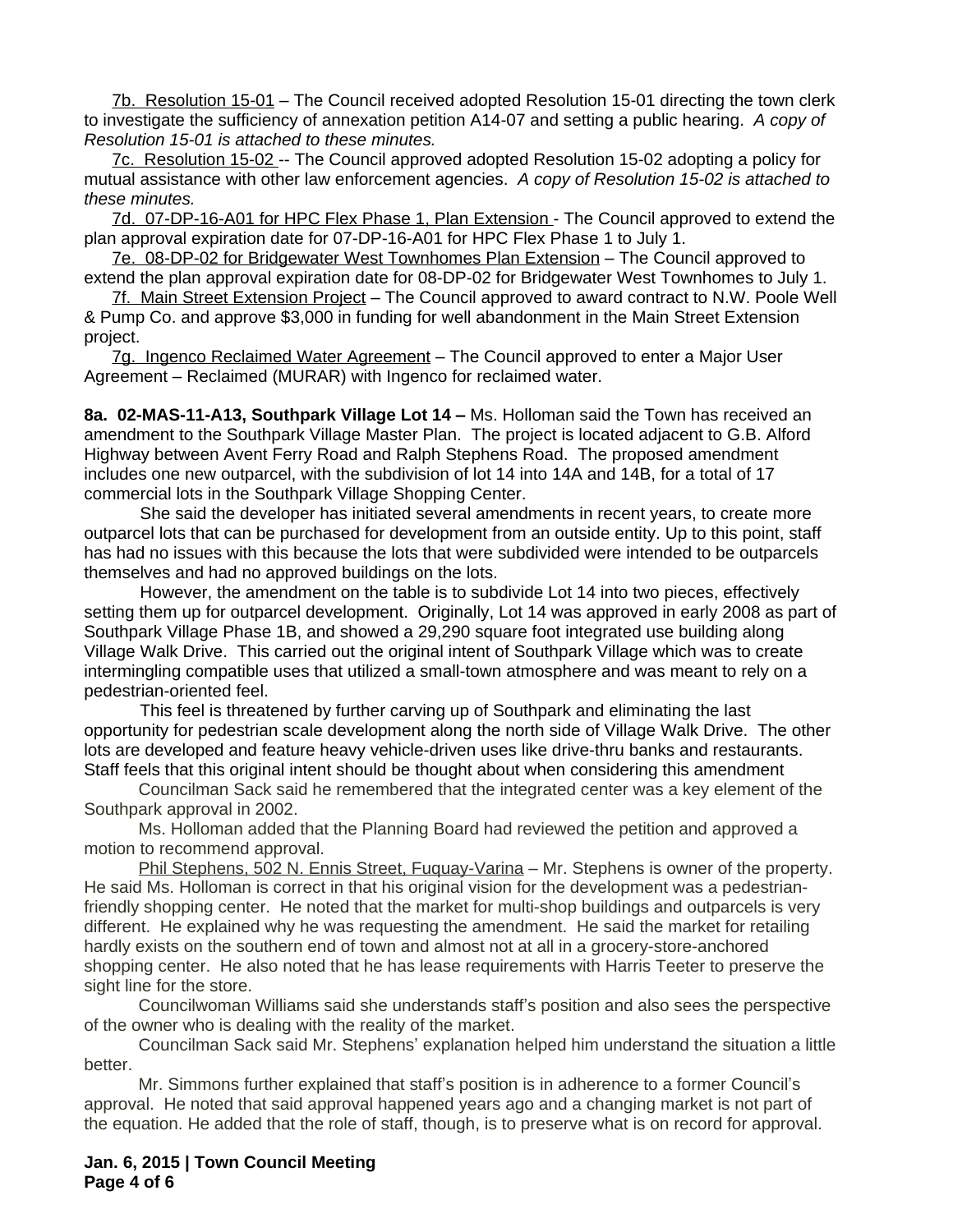7b. Resolution 15-01 – The Council received adopted Resolution 15-01 directing the town clerk to investigate the sufficiency of annexation petition A14-07 and setting a public hearing. *A copy of Resolution 15-01 is attached to these minutes.*

7c. Resolution 15-02 -- The Council approved adopted Resolution 15-02 adopting a policy for mutual assistance with other law enforcement agencies. *A copy of Resolution 15-02 is attached to these minutes.*

7d. 07-DP-16-A01 for HPC Flex Phase 1, Plan Extension - The Council approved to extend the plan approval expiration date for 07-DP-16-A01 for HPC Flex Phase 1 to July 1.

7e. 08-DP-02 for Bridgewater West Townhomes Plan Extension – The Council approved to extend the plan approval expiration date for 08-DP-02 for Bridgewater West Townhomes to July 1.

7f. Main Street Extension Project – The Council approved to award contract to N.W. Poole Well & Pump Co. and approve \$3,000 in funding for well abandonment in the Main Street Extension project.

7g. Ingenco Reclaimed Water Agreement – The Council approved to enter a Major User Agreement – Reclaimed (MURAR) with Ingenco for reclaimed water.

**8a. 02-MAS-11-A13, Southpark Village Lot 14 – Ms. Holloman said the Town has received an** amendment to the Southpark Village Master Plan. The project is located adjacent to G.B. Alford Highway between Avent Ferry Road and Ralph Stephens Road. The proposed amendment includes one new outparcel, with the subdivision of lot 14 into 14A and 14B, for a total of 17 commercial lots in the Southpark Village Shopping Center.

She said the developer has initiated several amendments in recent years, to create more outparcel lots that can be purchased for development from an outside entity. Up to this point, staff has had no issues with this because the lots that were subdivided were intended to be outparcels themselves and had no approved buildings on the lots.

However, the amendment on the table is to subdivide Lot 14 into two pieces, effectively setting them up for outparcel development. Originally, Lot 14 was approved in early 2008 as part of Southpark Village Phase 1B, and showed a 29,290 square foot integrated use building along Village Walk Drive. This carried out the original intent of Southpark Village which was to create intermingling compatible uses that utilized a small-town atmosphere and was meant to rely on a pedestrian-oriented feel.

This feel is threatened by further carving up of Southpark and eliminating the last opportunity for pedestrian scale development along the north side of Village Walk Drive. The other lots are developed and feature heavy vehicle-driven uses like drive-thru banks and restaurants. Staff feels that this original intent should be thought about when considering this amendment

Councilman Sack said he remembered that the integrated center was a key element of the Southpark approval in 2002.

Ms. Holloman added that the Planning Board had reviewed the petition and approved a motion to recommend approval.

Phil Stephens, 502 N. Ennis Street, Fuquay-Varina – Mr. Stephens is owner of the property. He said Ms. Holloman is correct in that his original vision for the development was a pedestrianfriendly shopping center. He noted that the market for multi-shop buildings and outparcels is very different. He explained why he was requesting the amendment. He said the market for retailing hardly exists on the southern end of town and almost not at all in a grocery-store-anchored shopping center. He also noted that he has lease requirements with Harris Teeter to preserve the sight line for the store.

Councilwoman Williams said she understands staff's position and also sees the perspective of the owner who is dealing with the reality of the market.

Councilman Sack said Mr. Stephens' explanation helped him understand the situation a little better.

Mr. Simmons further explained that staff's position is in adherence to a former Council's approval. He noted that said approval happened years ago and a changing market is not part of the equation. He added that the role of staff, though, is to preserve what is on record for approval.

**Jan. 6, 2015 | Town Council Meeting Page 4 of 6**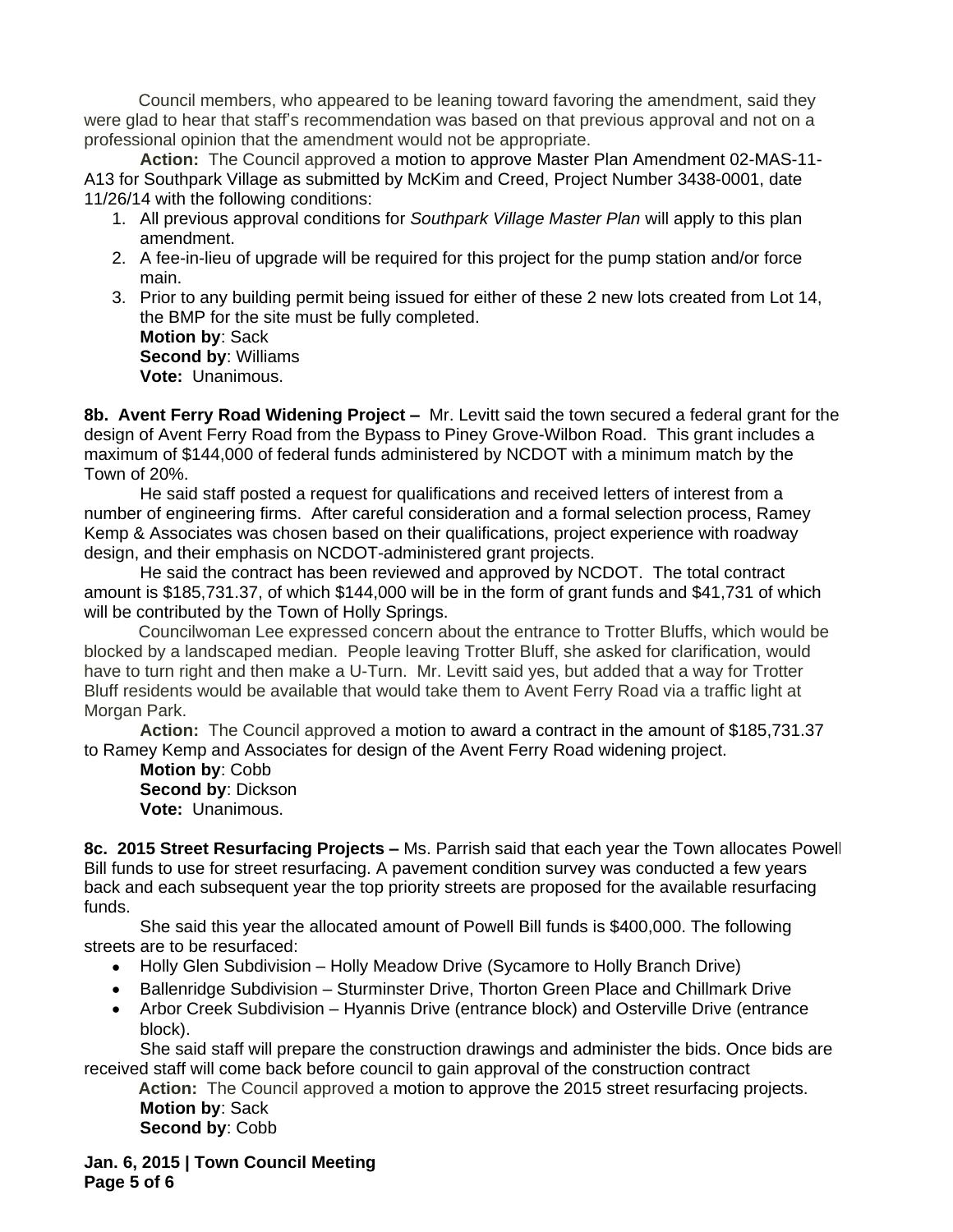Council members, who appeared to be leaning toward favoring the amendment, said they were glad to hear that staff's recommendation was based on that previous approval and not on a professional opinion that the amendment would not be appropriate.

**Action:** The Council approved a motion to approve Master Plan Amendment 02-MAS-11- A13 for Southpark Village as submitted by McKim and Creed, Project Number 3438-0001, date 11/26/14 with the following conditions:

- 1. All previous approval conditions for *Southpark Village Master Plan* will apply to this plan amendment.
- 2. A fee-in-lieu of upgrade will be required for this project for the pump station and/or force main.
- 3. Prior to any building permit being issued for either of these 2 new lots created from Lot 14, the BMP for the site must be fully completed. **Motion by**: Sack **Second by**: Williams **Vote:** Unanimous.

**8b. Avent Ferry Road Widening Project –** Mr. Levitt said the town secured a federal grant for the design of Avent Ferry Road from the Bypass to Piney Grove-Wilbon Road. This grant includes a maximum of \$144,000 of federal funds administered by NCDOT with a minimum match by the Town of 20%.

He said staff posted a request for qualifications and received letters of interest from a number of engineering firms. After careful consideration and a formal selection process, Ramey Kemp & Associates was chosen based on their qualifications, project experience with roadway design, and their emphasis on NCDOT-administered grant projects.

He said the contract has been reviewed and approved by NCDOT. The total contract amount is \$185,731.37, of which \$144,000 will be in the form of grant funds and \$41,731 of which will be contributed by the Town of Holly Springs.

Councilwoman Lee expressed concern about the entrance to Trotter Bluffs, which would be blocked by a landscaped median. People leaving Trotter Bluff, she asked for clarification, would have to turn right and then make a U-Turn. Mr. Levitt said yes, but added that a way for Trotter Bluff residents would be available that would take them to Avent Ferry Road via a traffic light at Morgan Park.

**Action:** The Council approved a motion to award a contract in the amount of \$185,731.37 to Ramey Kemp and Associates for design of the Avent Ferry Road widening project.

**Motion by**: Cobb **Second by**: Dickson **Vote:** Unanimous.

**8c. 2015 Street Resurfacing Projects –** Ms. Parrish said that each year the Town allocates Powell Bill funds to use for street resurfacing. A pavement condition survey was conducted a few years back and each subsequent year the top priority streets are proposed for the available resurfacing funds.

She said this year the allocated amount of Powell Bill funds is \$400,000. The following streets are to be resurfaced:

- Holly Glen Subdivision Holly Meadow Drive (Sycamore to Holly Branch Drive)
- Ballenridge Subdivision Sturminster Drive, Thorton Green Place and Chillmark Drive
- Arbor Creek Subdivision Hyannis Drive (entrance block) and Osterville Drive (entrance block).

She said staff will prepare the construction drawings and administer the bids. Once bids are received staff will come back before council to gain approval of the construction contract

**Action:** The Council approved a motion to approve the 2015 street resurfacing projects. **Motion by**: Sack **Second by**: Cobb

**Jan. 6, 2015 | Town Council Meeting Page 5 of 6**